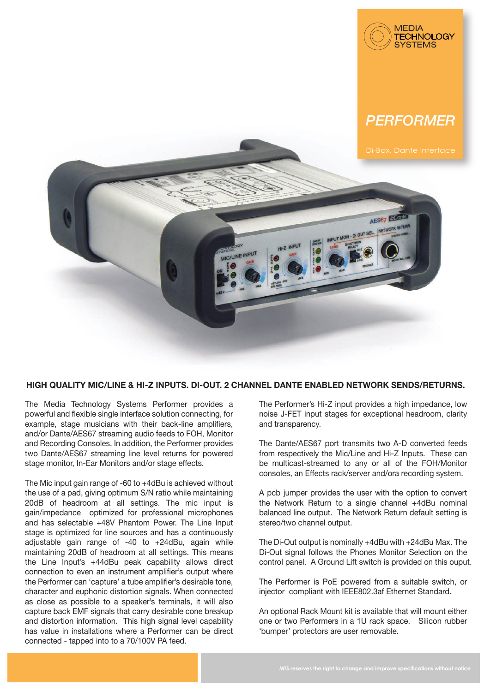

## *PERFORMER*



## **HIGH QUALITY MIC/LINE & HI-Z INPUTS. DI-OUT. 2 CHANNEL DANTE ENABLED NETWORK SENDS/RETURNS.**

The Media Technology Systems Performer provides a powerful and flexible single interface solution connecting, for example, stage musicians with their back-line amplifiers, and/or Dante/AES67 streaming audio feeds to FOH, Monitor and Recording Consoles. In addition, the Performer provides two Dante/AES67 streaming line level returns for powered stage monitor, In-Ear Monitors and/or stage effects.

The Mic input gain range of -60 to +4dBu is achieved without the use of a pad, giving optimum S/N ratio while maintaining 20dB of headroom at all settings. The mic input is gain/impedance optimized for professional microphones and has selectable +48V Phantom Power. The Line Input stage is optimized for line sources and has a continuously adjustable gain range of -40 to +24dBu, again while maintaining 20dB of headroom at all settings. This means the Line Input's +44dBu peak capability allows direct connection to even an instrument amplifier's output where the Performer can 'capture' a tube amplifier's desirable tone, character and euphonic distortion signals. When connected as close as possible to a speaker's terminals, it will also capture back EMF signals that carry desirable cone breakup and distortion information. This high signal level capability has value in installations where a Performer can be direct connected - tapped into to a 70/100V PA feed.

The Performer's Hi-Z input provides a high impedance, low noise J-FET input stages for exceptional headroom, clarity and transparency.

The Dante/AES67 port transmits two A-D converted feeds from respectively the Mic/Line and Hi-Z Inputs. These can be multicast-streamed to any or all of the FOH/Monitor consoles, an Effects rack/server and/ora recording system.

A pcb jumper provides the user with the option to convert the Network Return to a single channel +4dBu nominal balanced line output. The Network Return default setting is stereo/two channel output.

The Di-Out output is nominally +4dBu with +24dBu Max. The Di-Out signal follows the Phones Monitor Selection on the control panel. A Ground Lift switch is provided on this ouput.

The Performer is PoE powered from a suitable switch, or injector compliant with IEEE802.3af Ethernet Standard.

An optional Rack Mount kit is available that will mount either one or two Performers in a 1U rack space. Silicon rubber 'bumper' protectors are user removable.